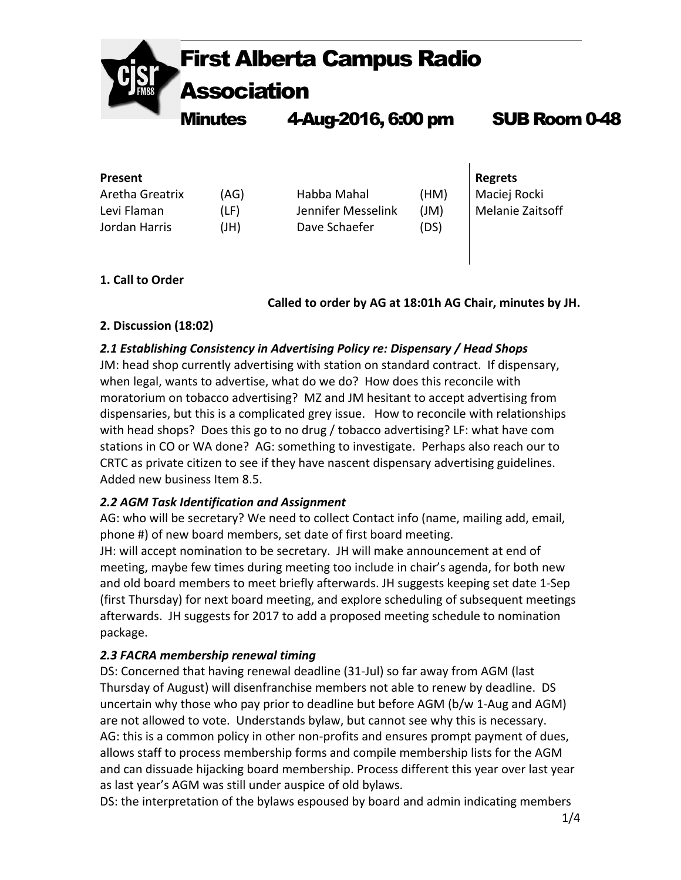

| <b>Present</b>  |      |                    |      | <b>Regrets</b>   |
|-----------------|------|--------------------|------|------------------|
| Aretha Greatrix | (AG) | Habba Mahal        | (HM) | Maciej Rocki     |
| Levi Flaman     | (LF) | Jennifer Messelink | J(M) | Melanie Zaitsoff |
| Jordan Harris   | (HI) | Dave Schaefer      | (DS) |                  |

### **1. Call to Order**

**Called to order by AG at 18:01h AG Chair, minutes by JH.**

 $\overline{\phantom{a}}$ 

### **2. Discussion (18:02)**

## *2.1 Establishing Consistency in Advertising Policy re: Dispensary / Head Shops*

JM: head shop currently advertising with station on standard contract. If dispensary, when legal, wants to advertise, what do we do? How does this reconcile with moratorium on tobacco advertising? MZ and JM hesitant to accept advertising from dispensaries, but this is a complicated grey issue. How to reconcile with relationships with head shops? Does this go to no drug / tobacco advertising? LF: what have com stations in CO or WA done? AG: something to investigate. Perhaps also reach our to CRTC as private citizen to see if they have nascent dispensary advertising guidelines. Added new business Item 8.5.

### *2.2 AGM Task Identification and Assignment*

AG: who will be secretary? We need to collect Contact info (name, mailing add, email, phone #) of new board members, set date of first board meeting.

JH: will accept nomination to be secretary. JH will make announcement at end of meeting, maybe few times during meeting too include in chair's agenda, for both new and old board members to meet briefly afterwards. JH suggests keeping set date 1-Sep (first Thursday) for next board meeting, and explore scheduling of subsequent meetings afterwards. JH suggests for 2017 to add a proposed meeting schedule to nomination package. 

# *2.3 FACRA membership renewal timing*

DS: Concerned that having renewal deadline (31-Jul) so far away from AGM (last Thursday of August) will disenfranchise members not able to renew by deadline. DS uncertain why those who pay prior to deadline but before AGM ( $b/w$  1-Aug and AGM) are not allowed to vote. Understands bylaw, but cannot see why this is necessary. AG: this is a common policy in other non-profits and ensures prompt payment of dues, allows staff to process membership forms and compile membership lists for the AGM and can dissuade hijacking board membership. Process different this year over last year as last year's AGM was still under auspice of old bylaws.

DS: the interpretation of the bylaws espoused by board and admin indicating members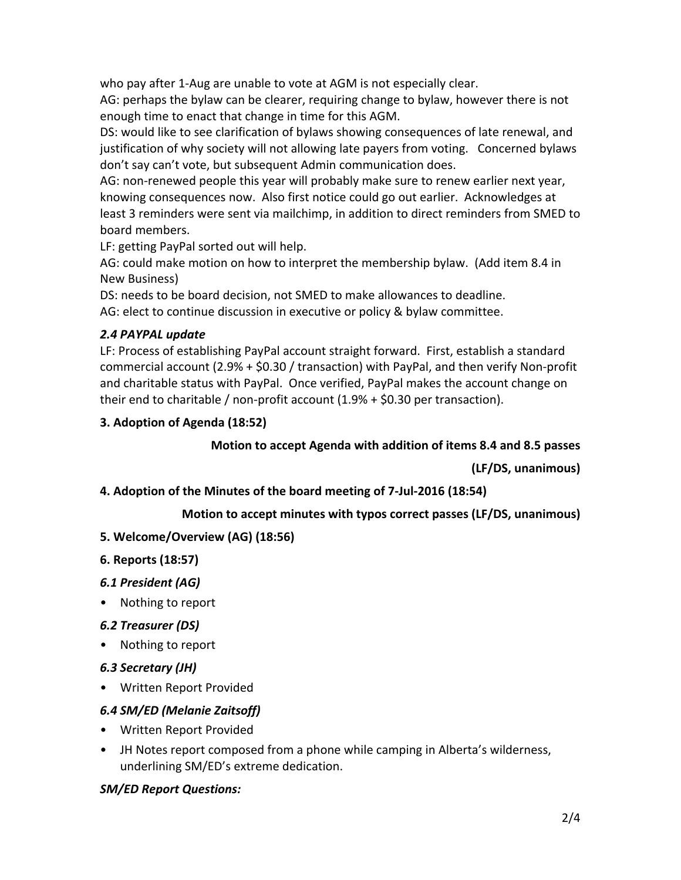who pay after 1-Aug are unable to vote at AGM is not especially clear.

AG: perhaps the bylaw can be clearer, requiring change to bylaw, however there is not enough time to enact that change in time for this AGM.

DS: would like to see clarification of bylaws showing consequences of late renewal, and justification of why society will not allowing late payers from voting. Concerned bylaws don't say can't vote, but subsequent Admin communication does.

AG: non-renewed people this year will probably make sure to renew earlier next year, knowing consequences now. Also first notice could go out earlier. Acknowledges at least 3 reminders were sent via mailchimp, in addition to direct reminders from SMED to board members.

LF: getting PayPal sorted out will help.

AG: could make motion on how to interpret the membership bylaw. (Add item 8.4 in New Business)

DS: needs to be board decision, not SMED to make allowances to deadline.

AG: elect to continue discussion in executive or policy & bylaw committee.

### *2.4 PAYPAL update*

LF: Process of establishing PayPal account straight forward. First, establish a standard commercial account  $(2.9% + $0.30 /$  transaction) with PayPal, and then verify Non-profit and charitable status with PayPal. Once verified, PayPal makes the account change on their end to charitable / non-profit account  $(1.9% + $0.30$  per transaction).

### **3. Adoption of Agenda (18:52)**

### **Motion to accept Agenda with addition of items 8.4 and 8.5 passes**

**(LF/DS, unanimous)**

#### **4. Adoption of the Minutes of the board meeting of 7-Jul-2016 (18:54)**

### **Motion to accept minutes with typos correct passes (LF/DS, unanimous)**

**5. Welcome/Overview (AG) (18:56)**

#### **6. Reports (18:57)**

### *6.1 President (AG)*

• Nothing to report

### *6.2 Treasurer (DS)*

- Nothing to report
- *6.3 Secretary (JH)*
- Written Report Provided

### *6.4 SM/ED (Melanie Zaitsoff)*

- Written Report Provided
- JH Notes report composed from a phone while camping in Alberta's wilderness, underlining SM/ED's extreme dedication.

### *SM/ED Report Questions:*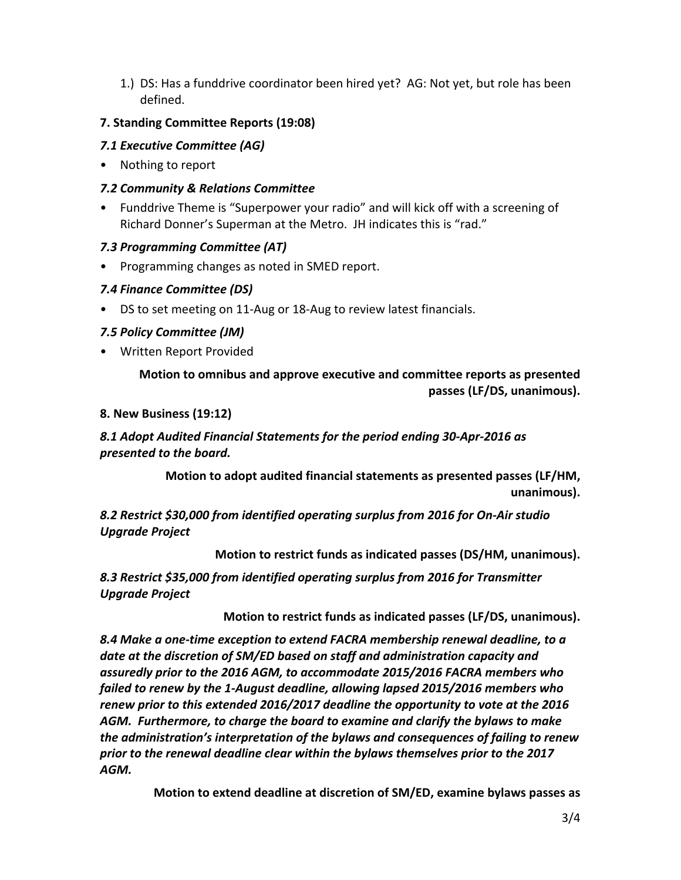1.) DS: Has a funddrive coordinator been hired yet? AG: Not yet, but role has been defined. 

### **7. Standing Committee Reports (19:08)**

## *7.1 Executive Committee (AG)*

• Nothing to report

## *7.2 Community & Relations Committee*

• Funddrive Theme is "Superpower your radio" and will kick off with a screening of Richard Donner's Superman at the Metro. JH indicates this is "rad."

## *7.3 Programming Committee (AT)*

Programming changes as noted in SMED report.

# *7.4 Finance Committee (DS)*

DS to set meeting on 11-Aug or 18-Aug to review latest financials.

## *7.5 Policy Committee (JM)*

• Written Report Provided

## **Motion to omnibus and approve executive and committee reports as presented passes (LF/DS, unanimous).**

### **8. New Business (19:12)**

# *8.1 Adopt Audited Financial Statements for the period ending 30-Apr-2016 as presented to the board.*

**Motion to adopt audited financial statements as presented passes (LF/HM, unanimous).**

*8.2 Restrict \$30,000 from identified operating surplus from 2016 for On-Air studio Upgrade Project*

### **Motion to restrict funds as indicated passes (DS/HM, unanimous).**

*8.3 Restrict \$35,000 from identified operating surplus from 2016 for Transmitter Upgrade Project*

### **Motion to restrict funds as indicated passes (LF/DS, unanimous).**

*8.4 Make a one-time exception to extend FACRA membership renewal deadline, to a date at the discretion of SM/ED based on staff and administration capacity and assuredly prior to the 2016 AGM, to accommodate 2015/2016 FACRA members who*  failed to renew by the 1-August deadline, allowing lapsed 2015/2016 members who renew prior to this extended 2016/2017 deadline the opportunity to vote at the 2016 *AGM. Furthermore, to charge the board to examine and clarify the bylaws to make the administration's interpretation of the bylaws and consequences of failing to renew* prior to the renewal deadline clear within the bylaws themselves prior to the 2017 *AGM.*

**Motion to extend deadline at discretion of SM/ED, examine bylaws passes as**